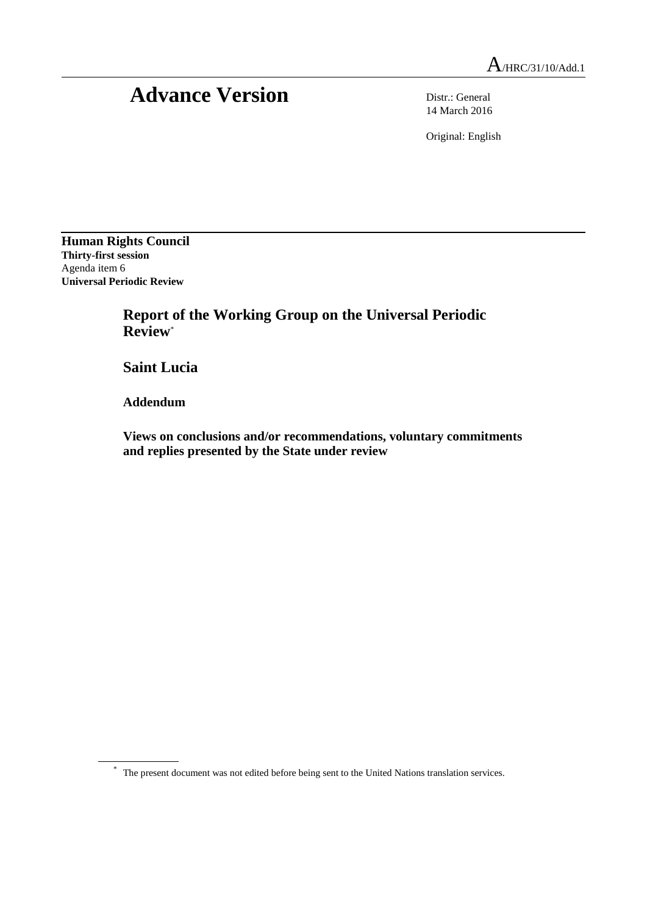# Advance Version Distr.: General

14 March 2016

Original: English

**Human Rights Council Thirty-first session** Agenda item 6 **Universal Periodic Review**

> **Report of the Working Group on the Universal Periodic Review**\*

**Saint Lucia**

**Addendum**

**Views on conclusions and/or recommendations, voluntary commitments and replies presented by the State under review**

\* The present document was not edited before being sent to the United Nations translation services.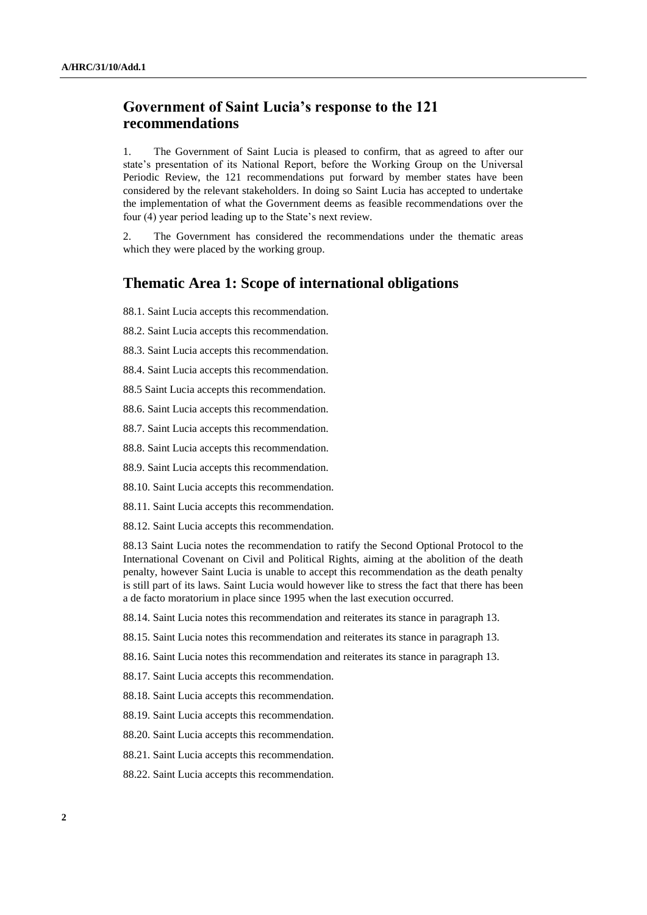## **Government of Saint Lucia's response to the 121 recommendations**

1. The Government of Saint Lucia is pleased to confirm, that as agreed to after our state's presentation of its National Report, before the Working Group on the Universal Periodic Review, the 121 recommendations put forward by member states have been considered by the relevant stakeholders. In doing so Saint Lucia has accepted to undertake the implementation of what the Government deems as feasible recommendations over the four (4) year period leading up to the State's next review.

2. The Government has considered the recommendations under the thematic areas which they were placed by the working group.

#### **Thematic Area 1: Scope of international obligations**

88.1. Saint Lucia accepts this recommendation.

88.2. Saint Lucia accepts this recommendation.

88.3. Saint Lucia accepts this recommendation.

88.4. Saint Lucia accepts this recommendation.

88.5 Saint Lucia accepts this recommendation.

88.6. Saint Lucia accepts this recommendation.

88.7. Saint Lucia accepts this recommendation.

88.8. Saint Lucia accepts this recommendation.

88.9. Saint Lucia accepts this recommendation.

88.10. Saint Lucia accepts this recommendation.

88.11. Saint Lucia accepts this recommendation.

88.12. Saint Lucia accepts this recommendation.

88.13 Saint Lucia notes the recommendation to ratify the Second Optional Protocol to the International Covenant on Civil and Political Rights, aiming at the abolition of the death penalty, however Saint Lucia is unable to accept this recommendation as the death penalty is still part of its laws. Saint Lucia would however like to stress the fact that there has been a de facto moratorium in place since 1995 when the last execution occurred.

88.14. Saint Lucia notes this recommendation and reiterates its stance in paragraph 13.

88.15. Saint Lucia notes this recommendation and reiterates its stance in paragraph 13.

88.16. Saint Lucia notes this recommendation and reiterates its stance in paragraph 13.

88.17. Saint Lucia accepts this recommendation.

88.18. Saint Lucia accepts this recommendation.

88.19. Saint Lucia accepts this recommendation.

88.20. Saint Lucia accepts this recommendation.

88.21. Saint Lucia accepts this recommendation.

88.22. Saint Lucia accepts this recommendation.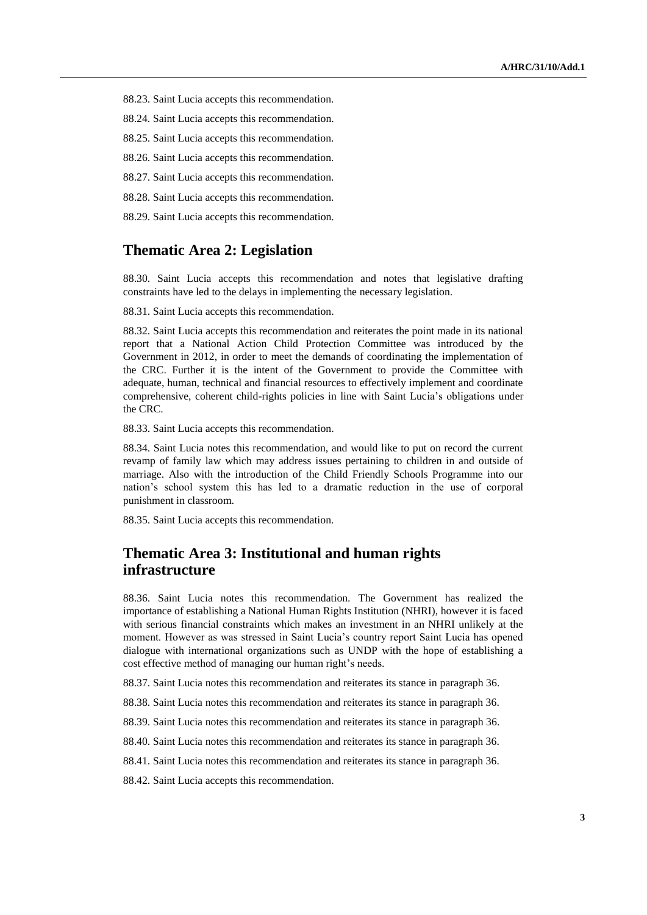88.23. Saint Lucia accepts this recommendation.

88.24. Saint Lucia accepts this recommendation.

88.25. Saint Lucia accepts this recommendation.

88.26. Saint Lucia accepts this recommendation.

88.27. Saint Lucia accepts this recommendation.

88.28. Saint Lucia accepts this recommendation.

88.29. Saint Lucia accepts this recommendation.

#### **Thematic Area 2: Legislation**

88.30. Saint Lucia accepts this recommendation and notes that legislative drafting constraints have led to the delays in implementing the necessary legislation.

88.31. Saint Lucia accepts this recommendation.

88.32. Saint Lucia accepts this recommendation and reiterates the point made in its national report that a National Action Child Protection Committee was introduced by the Government in 2012, in order to meet the demands of coordinating the implementation of the CRC. Further it is the intent of the Government to provide the Committee with adequate, human, technical and financial resources to effectively implement and coordinate comprehensive, coherent child-rights policies in line with Saint Lucia's obligations under the CRC.

88.33. Saint Lucia accepts this recommendation.

88.34. Saint Lucia notes this recommendation, and would like to put on record the current revamp of family law which may address issues pertaining to children in and outside of marriage. Also with the introduction of the Child Friendly Schools Programme into our nation's school system this has led to a dramatic reduction in the use of corporal punishment in classroom.

88.35. Saint Lucia accepts this recommendation.

#### **Thematic Area 3: Institutional and human rights infrastructure**

88.36. Saint Lucia notes this recommendation. The Government has realized the importance of establishing a National Human Rights Institution (NHRI), however it is faced with serious financial constraints which makes an investment in an NHRI unlikely at the moment. However as was stressed in Saint Lucia's country report Saint Lucia has opened dialogue with international organizations such as UNDP with the hope of establishing a cost effective method of managing our human right's needs.

88.37. Saint Lucia notes this recommendation and reiterates its stance in paragraph 36.

88.38. Saint Lucia notes this recommendation and reiterates its stance in paragraph 36.

88.39. Saint Lucia notes this recommendation and reiterates its stance in paragraph 36.

88.40. Saint Lucia notes this recommendation and reiterates its stance in paragraph 36.

88.41. Saint Lucia notes this recommendation and reiterates its stance in paragraph 36.

88.42. Saint Lucia accepts this recommendation.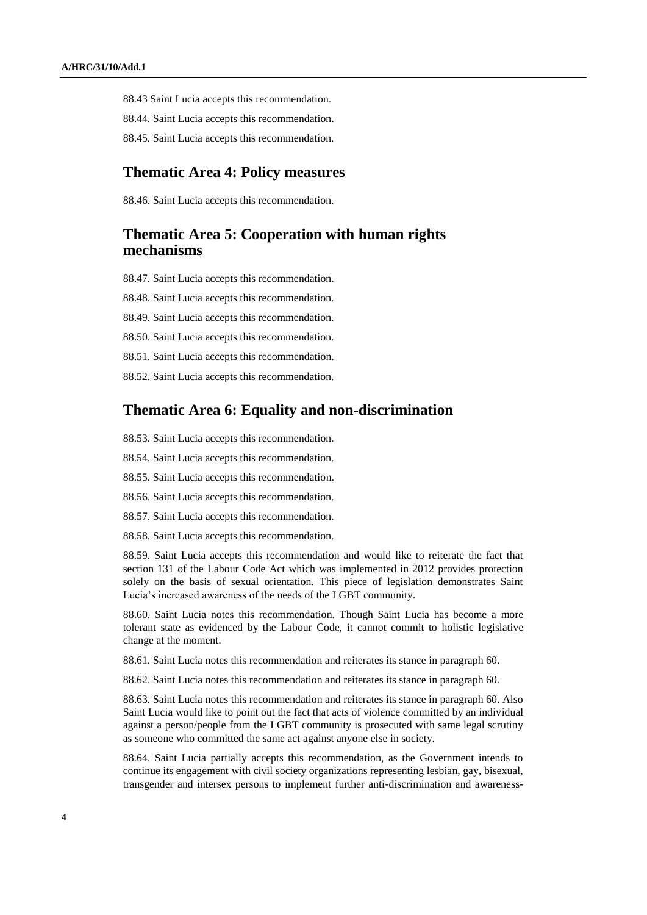88.43 Saint Lucia accepts this recommendation.

88.44. Saint Lucia accepts this recommendation.

88.45. Saint Lucia accepts this recommendation.

#### **Thematic Area 4: Policy measures**

88.46. Saint Lucia accepts this recommendation.

#### **Thematic Area 5: Cooperation with human rights mechanisms**

88.47. Saint Lucia accepts this recommendation.

88.48. Saint Lucia accepts this recommendation.

88.49. Saint Lucia accepts this recommendation.

88.50. Saint Lucia accepts this recommendation.

88.51. Saint Lucia accepts this recommendation.

88.52. Saint Lucia accepts this recommendation.

#### **Thematic Area 6: Equality and non-discrimination**

88.53. Saint Lucia accepts this recommendation.

88.54. Saint Lucia accepts this recommendation.

88.55. Saint Lucia accepts this recommendation.

88.56. Saint Lucia accepts this recommendation.

88.57. Saint Lucia accepts this recommendation.

88.58. Saint Lucia accepts this recommendation.

88.59. Saint Lucia accepts this recommendation and would like to reiterate the fact that section 131 of the Labour Code Act which was implemented in 2012 provides protection solely on the basis of sexual orientation. This piece of legislation demonstrates Saint Lucia's increased awareness of the needs of the LGBT community.

88.60. Saint Lucia notes this recommendation. Though Saint Lucia has become a more tolerant state as evidenced by the Labour Code, it cannot commit to holistic legislative change at the moment.

88.61. Saint Lucia notes this recommendation and reiterates its stance in paragraph 60.

88.62. Saint Lucia notes this recommendation and reiterates its stance in paragraph 60.

88.63. Saint Lucia notes this recommendation and reiterates its stance in paragraph 60. Also Saint Lucia would like to point out the fact that acts of violence committed by an individual against a person/people from the LGBT community is prosecuted with same legal scrutiny as someone who committed the same act against anyone else in society.

88.64. Saint Lucia partially accepts this recommendation, as the Government intends to continue its engagement with civil society organizations representing lesbian, gay, bisexual, transgender and intersex persons to implement further anti-discrimination and awareness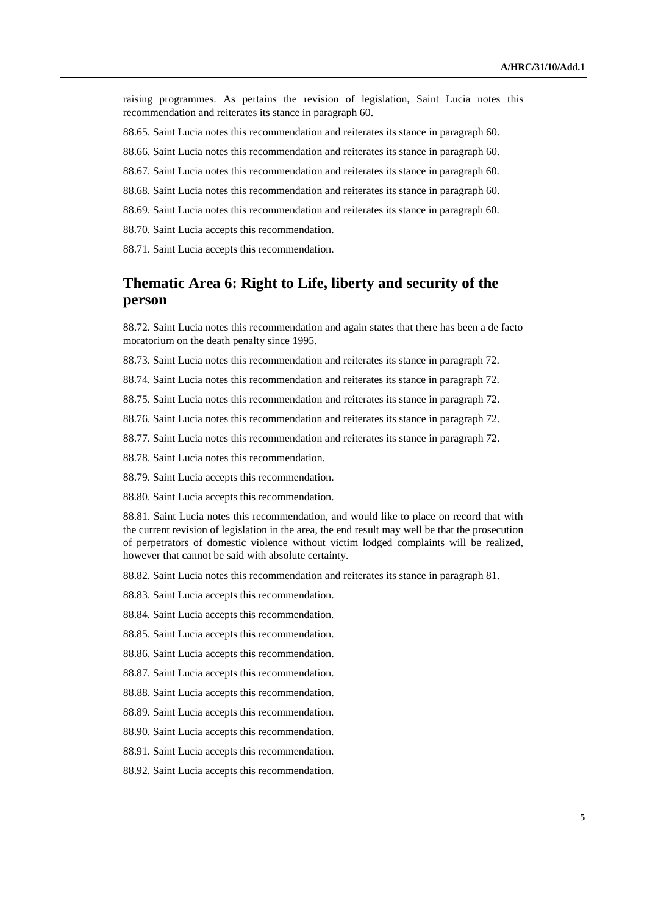raising programmes. As pertains the revision of legislation, Saint Lucia notes this recommendation and reiterates its stance in paragraph 60.

88.65. Saint Lucia notes this recommendation and reiterates its stance in paragraph 60.

88.66. Saint Lucia notes this recommendation and reiterates its stance in paragraph 60.

88.67. Saint Lucia notes this recommendation and reiterates its stance in paragraph 60.

88.68. Saint Lucia notes this recommendation and reiterates its stance in paragraph 60.

88.69. Saint Lucia notes this recommendation and reiterates its stance in paragraph 60.

88.70. Saint Lucia accepts this recommendation.

88.71. Saint Lucia accepts this recommendation.

## **Thematic Area 6: Right to Life, liberty and security of the person**

88.72. Saint Lucia notes this recommendation and again states that there has been a de facto moratorium on the death penalty since 1995.

88.73. Saint Lucia notes this recommendation and reiterates its stance in paragraph 72.

88.74. Saint Lucia notes this recommendation and reiterates its stance in paragraph 72.

88.75. Saint Lucia notes this recommendation and reiterates its stance in paragraph 72.

88.76. Saint Lucia notes this recommendation and reiterates its stance in paragraph 72.

88.77. Saint Lucia notes this recommendation and reiterates its stance in paragraph 72.

88.78. Saint Lucia notes this recommendation.

88.79. Saint Lucia accepts this recommendation.

88.80. Saint Lucia accepts this recommendation.

88.81. Saint Lucia notes this recommendation, and would like to place on record that with the current revision of legislation in the area, the end result may well be that the prosecution of perpetrators of domestic violence without victim lodged complaints will be realized, however that cannot be said with absolute certainty.

88.82. Saint Lucia notes this recommendation and reiterates its stance in paragraph 81.

88.83. Saint Lucia accepts this recommendation.

88.84. Saint Lucia accepts this recommendation.

88.85. Saint Lucia accepts this recommendation.

88.86. Saint Lucia accepts this recommendation.

88.87. Saint Lucia accepts this recommendation.

88.88. Saint Lucia accepts this recommendation.

88.89. Saint Lucia accepts this recommendation.

88.90. Saint Lucia accepts this recommendation.

88.91. Saint Lucia accepts this recommendation.

88.92. Saint Lucia accepts this recommendation.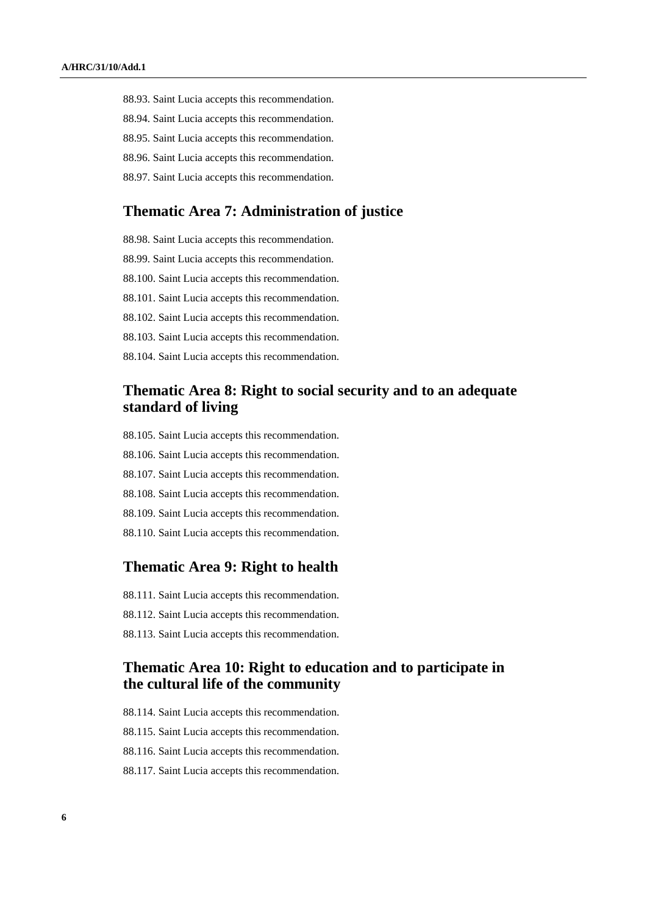- 88.93. Saint Lucia accepts this recommendation.
- 88.94. Saint Lucia accepts this recommendation.
- 88.95. Saint Lucia accepts this recommendation.
- 88.96. Saint Lucia accepts this recommendation.
- 88.97. Saint Lucia accepts this recommendation.

## **Thematic Area 7: Administration of justice**

88.98. Saint Lucia accepts this recommendation. 88.99. Saint Lucia accepts this recommendation. 88.100. Saint Lucia accepts this recommendation. 88.101. Saint Lucia accepts this recommendation. 88.102. Saint Lucia accepts this recommendation. 88.103. Saint Lucia accepts this recommendation. 88.104. Saint Lucia accepts this recommendation.

## **Thematic Area 8: Right to social security and to an adequate standard of living**

- 88.105. Saint Lucia accepts this recommendation.
- 88.106. Saint Lucia accepts this recommendation.
- 88.107. Saint Lucia accepts this recommendation.
- 88.108. Saint Lucia accepts this recommendation.
- 88.109. Saint Lucia accepts this recommendation.
- 88.110. Saint Lucia accepts this recommendation.

#### **Thematic Area 9: Right to health**

88.111. Saint Lucia accepts this recommendation. 88.112. Saint Lucia accepts this recommendation. 88.113. Saint Lucia accepts this recommendation.

## **Thematic Area 10: Right to education and to participate in the cultural life of the community**

88.114. Saint Lucia accepts this recommendation. 88.115. Saint Lucia accepts this recommendation. 88.116. Saint Lucia accepts this recommendation.

88.117. Saint Lucia accepts this recommendation.